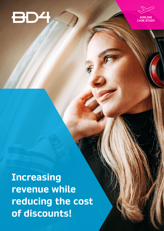



**Increasing revenue while reducing the cost of discounts!**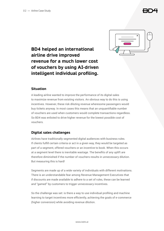

## **BD4 helped an international airline drive improved revenue for a much lower cost of vouchers by using AI-driven intelligent individual profiling.**

## **Situation**

A leading airline wanted to improve the performance of its digital sales to maximize revenue from existing visitors. An obvious way to do this is using incentives. However, these risk diluting revenue wheresome passengers would buy tickets anyway. In most cases this means that an unquantifiable number of vouchers are used when customers would complete transactions regardless. So BD4 was enlisted to drive higher revenue for the lowest possible cost of vouchers.

## **Digital sales challenges**

Airlines have traditionally segmented digital audiences with business rules. If clients fulfill certain criteria or act in a given way, they would be targeted as part of a segment, offered vouchers or an incentive to book. When this occurs at a segment level there is inevitable wastage. The benefits of any uplift are therefore diminished if the number of vouchers results in unnecessary dilution. But measuring this is hard!

Segments are made up of a wide variety of individuals with different motivations. There is an understandable fear among Revenue Management Executives that if discounts are made available to adhere to a set of rules, these can be learned and "gamed" by customers to trigger unnecessary incentives.

So the challenge was set: is there a way to use individual profiling and machine learning to target incentives more efficiently, achieving the goals of e-commerce (higher conversion) while avoiding revenue dilution.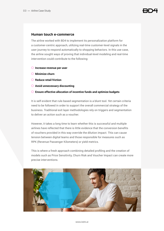#### **Human touch e-commerce**

The airline worked with BD4 to implement its personalization platform for a customer-centric approach, utilizing real-time customer-level signals in the user journey to respond automatically to shopping behaviors. In this use case, the airline sought ways of proving that individual-level modeling and real-time intervention could contribute to the following:

- ¬ **Increase revenue per user**
- ¬ **Minimize churn**
- ¬ **Reduce retail friction**
- ¬ **Avoid unnecessary discounting**
- ¬ **Ensure effective allocation of incentive funds and optimize budgets**

It is self-evident that rule-based segmentation is a blunt tool. Yet certain criteria need to be followed in order to support the overall commercial strategy of the business. Traditional exit layer methodologies rely on triggers and segmentation to deliver an action such as a voucher.

However, it takes a long time to learn whether this is successful and multiple airlines have reflected that there is little evidence that the conversion benefits of vouchers provided in this way override the dilution impact. This can cause tension between digital teams and those responsible for measures such as RPK (Revenue Passenger Kilometers) or yield metrics.

This is where a fresh approach combining detailed profiling and the creation of models such as Price Sensitivity, Churn Risk and Voucher Impact can create more precise interventions.

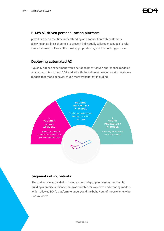## **BD4's AI-driven personalization platform**

provides a deep real-time understanding and connection with customers, allowing an airline's channels to present individually tailored messages to relevant customer profiles at the most appropriate stage of the booking process.

## **Deploying automated AI**

Typically airlines experiment with a set of segment-driven approaches modeled against a control group. BD4 worked with the airline to develop a set of real-time models that made behavior much more transparent including:



### **Segments of individuals**

The audience was divided to include a control group to be monitored while building a precise audience that was suitable for vouchers and creating models which allowed BD4's platform to understand the behaviour of those clients who use vouchers.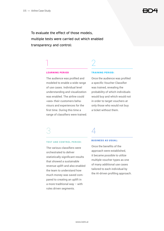To evaluate the effect of those models, multiple tests were carried out which enabled transparency and control:

1 2

#### LEARNING PERIOD

The audience was profiled and modeled to enable a wide range of use cases. Individual level understanding and visualization was enabled. The airline could »see« their customers behaviours and experiences for the first time. During this time a range of classifiers were trained.

#### **TRAINING PERIOD:**

Once the audience was profiled a specific Voucher Classifier was trained, revealing the probability of which individuals would buy and which would not in order to target vouchers at only those who would not buy a ticket without them.

# 3 4

#### **TEST AND CONTROL PERIOD:**

The various classifiers were orchestrated to deliver statistically significant results that showed a sustainable revenue uplift and also enabled the team to understand how much money was saved compared to creating an uplift in a more traditional way – with rules driven segments.

#### BUSINESS AS USUAL:

Once the benefits of the approach were established, it became possible to utilize multiple voucher types as one of many additional use cases tailored to each individual by the AI-driven profiling approach.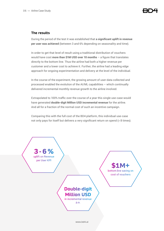## **The results**

During the period of the test it was established that **a significant uplift in revenue per user was achieved** (between 3 and 6% depending on seasonality and time).

In order to get that level of result using a traditional distribution of vouchers would have cost **more than \$1M USD over 10 months** – a figure that translates directly to the bottom line. Thus the airline had both a higher revenue per customer and a lower cost to achieve it. Further, the airline had a leading edge approach for ongoing experimentation and delivery at the level of the individual.

In the course of the experiment, the growing amount of user-data collected and processed enabled the evolution of the AI/ML capabilities – which continually delivered incremental monthly revenue growth to the airline involved.

Extrapolated to 100% traffic over the course of a year this single use-case would have generated **double-digit Million USD incremental revenue** for the airline. And all for a fraction of the normal cost of such an incentive campaign.

Comparing this with the full cost of the BD4 platform, this individual use-case not only pays for itself but delivers a very significant return on spend (> 8 times).

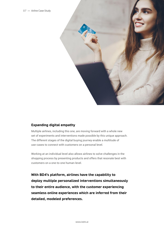

## **Expanding digital empathy**

Multiple airlines, including this one, are moving forward with a whole new set of experiments and interventions made possible by this unique approach. The different stages of the digital buying journey enable a multitude of use-cases to connect with customers on a personal level.

Working at an individual level also allows airlines to solve challenges in the shopping process by presenting products and offers that resonate best with customers on a one-to-one human-level.

**With BD4's platform, airlines have the capability to deploy multiple personalized interventions simultaneously to their entire audience, with the customer experiencing seamless online experiences which are inferred from their detailed, modeled preferences.**